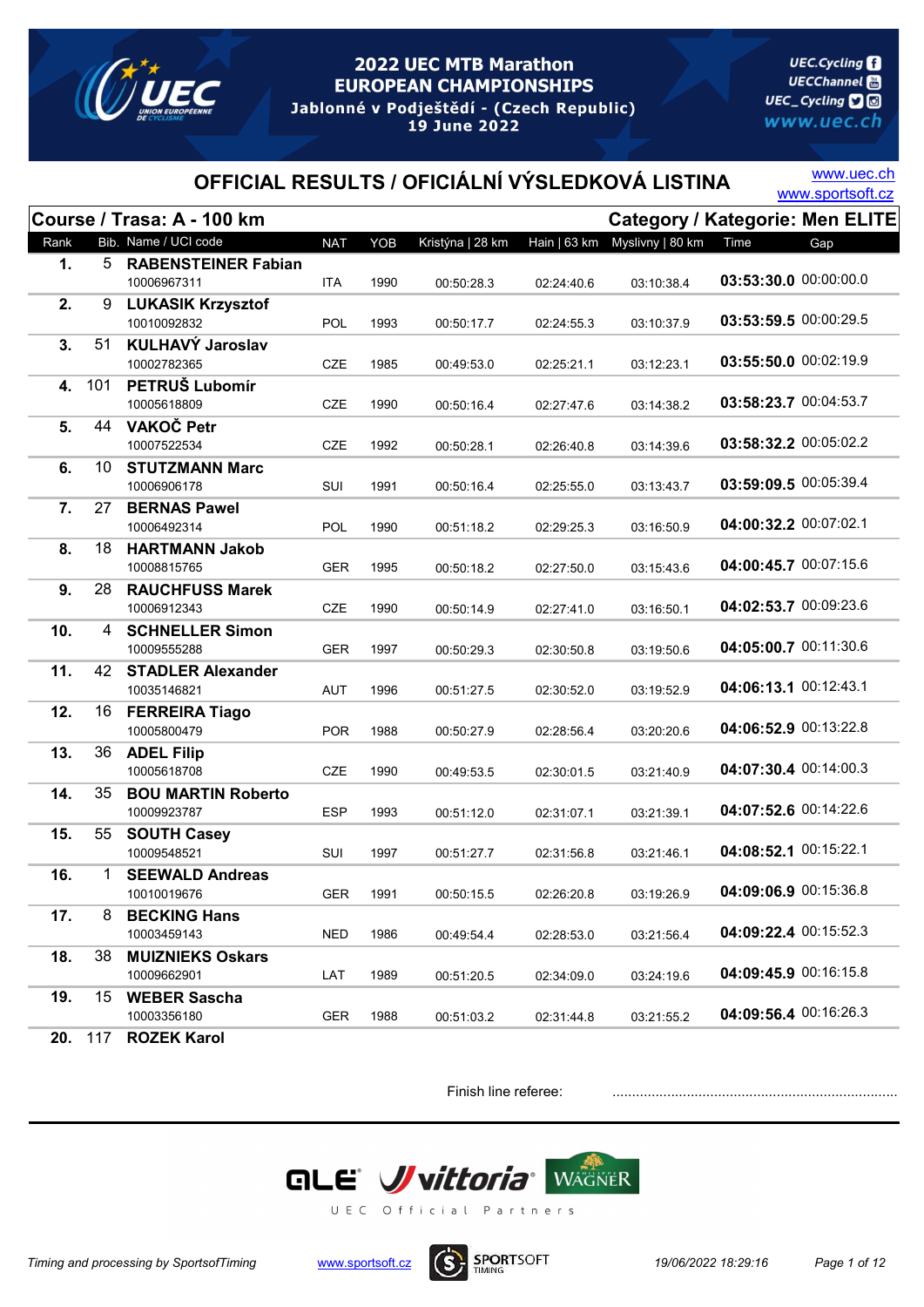

**UEC.Cycling UECChannel** 圖 UEC\_Cycling **D** www.uec.ch

# OFFICIAL RESULTS / OFICIÁLNÍ VÝSLEDKOVÁ LISTINA WWW.sportsoft.cz

www.uec.ch

|      |         | Course / Trasa: A - 100 km           |            |      |                  |              |                  |                       | <b>Category / Kategorie: Men ELITE</b> |
|------|---------|--------------------------------------|------------|------|------------------|--------------|------------------|-----------------------|----------------------------------------|
| Rank |         | Bib. Name / UCI code                 | <b>NAT</b> | YOB  | Kristýna   28 km | Hain   63 km | Myslivny   80 km | Time                  | Gap                                    |
| 1.   | 5       | <b>RABENSTEINER Fabian</b>           |            |      |                  |              |                  |                       |                                        |
|      |         | 10006967311                          | <b>ITA</b> | 1990 | 00:50:28.3       | 02:24:40.6   | 03:10:38.4       | 03:53:30.0 00:00:00.0 |                                        |
| 2.   | 9       | <b>LUKASIK Krzysztof</b>             |            |      |                  |              |                  |                       |                                        |
|      |         | 10010092832                          | <b>POL</b> | 1993 | 00:50:17.7       | 02:24:55.3   | 03:10:37.9       | 03:53:59.5 00:00:29.5 |                                        |
| 3.   | 51      | <b>KULHAVÝ Jaroslav</b>              |            |      |                  |              |                  | 03:55:50.0 00:02:19.9 |                                        |
|      |         | 10002782365                          | <b>CZE</b> | 1985 | 00:49:53.0       | 02:25:21.1   | 03:12:23.1       |                       |                                        |
| 4.   | 101     | PETRUŠ Lubomír                       |            |      |                  |              |                  | 03:58:23.7 00:04:53.7 |                                        |
|      | 44      | 10005618809<br>VAKOČ Petr            | <b>CZE</b> | 1990 | 00:50:16.4       | 02:27:47.6   | 03:14:38.2       |                       |                                        |
| 5.   |         | 10007522534                          | CZE        | 1992 | 00:50:28.1       | 02:26:40.8   | 03:14:39.6       | 03:58:32.2 00:05:02.2 |                                        |
| 6.   | 10      | <b>STUTZMANN Marc</b>                |            |      |                  |              |                  |                       |                                        |
|      |         | 10006906178                          | SUI        | 1991 | 00:50:16.4       | 02:25:55.0   | 03:13:43.7       | 03:59:09.5 00:05:39.4 |                                        |
| 7.   | 27      | <b>BERNAS Pawel</b>                  |            |      |                  |              |                  |                       |                                        |
|      |         | 10006492314                          | <b>POL</b> | 1990 | 00:51:18.2       | 02:29:25.3   | 03:16:50.9       | 04:00:32.2 00:07:02.1 |                                        |
| 8.   | 18      | <b>HARTMANN Jakob</b>                |            |      |                  |              |                  |                       |                                        |
|      |         | 10008815765                          | GER        | 1995 | 00:50:18.2       | 02:27:50.0   | 03:15:43.6       | 04:00:45.7 00:07:15.6 |                                        |
| 9.   | 28      | <b>RAUCHFUSS Marek</b>               |            |      |                  |              |                  |                       |                                        |
|      |         | 10006912343                          | <b>CZE</b> | 1990 | 00:50:14.9       | 02:27:41.0   | 03:16:50.1       | 04:02:53.7 00:09:23.6 |                                        |
| 10.  | 4       | <b>SCHNELLER Simon</b>               |            |      |                  |              |                  |                       |                                        |
|      |         | 10009555288                          | <b>GER</b> | 1997 | 00:50:29.3       | 02:30:50.8   | 03:19:50.6       | 04:05:00.7 00:11:30.6 |                                        |
| 11.  | 42      | <b>STADLER Alexander</b>             |            |      |                  |              |                  |                       |                                        |
|      |         | 10035146821                          | <b>AUT</b> | 1996 | 00:51:27.5       | 02:30:52.0   | 03:19:52.9       | 04:06:13.1 00:12:43.1 |                                        |
| 12.  | 16      | <b>FERREIRA Tiago</b><br>10005800479 |            | 1988 |                  |              |                  | 04:06:52.9 00:13:22.8 |                                        |
| 13.  | 36      |                                      | <b>POR</b> |      | 00:50:27.9       | 02:28:56.4   | 03:20:20.6       |                       |                                        |
|      |         | <b>ADEL Filip</b><br>10005618708     | <b>CZE</b> | 1990 | 00:49:53.5       | 02:30:01.5   | 03:21:40.9       | 04:07:30.4 00:14:00.3 |                                        |
| 14.  | 35      | <b>BOU MARTIN Roberto</b>            |            |      |                  |              |                  |                       |                                        |
|      |         | 10009923787                          | <b>ESP</b> | 1993 | 00:51:12.0       | 02:31:07.1   | 03:21:39.1       | 04:07:52.6 00:14:22.6 |                                        |
| 15.  | 55      | <b>SOUTH Casey</b>                   |            |      |                  |              |                  |                       |                                        |
|      |         | 10009548521                          | SUI        | 1997 | 00:51:27.7       | 02:31:56.8   | 03:21:46.1       | 04:08:52.1 00:15:22.1 |                                        |
| 16.  | 1       | <b>SEEWALD Andreas</b>               |            |      |                  |              |                  |                       |                                        |
|      |         | 10010019676                          | <b>GER</b> | 1991 | 00:50:15.5       | 02:26:20.8   | 03:19:26.9       | 04:09:06.9 00:15:36.8 |                                        |
| 17.  | 8       | <b>BECKING Hans</b>                  |            |      |                  |              |                  |                       |                                        |
|      |         | 10003459143                          | <b>NED</b> | 1986 | 00:49:54.4       | 02:28:53.0   | 03:21:56.4       | 04:09:22.4 00:15:52.3 |                                        |
| 18.  | 38      | <b>MUIZNIEKS Oskars</b>              |            |      |                  |              |                  |                       |                                        |
|      |         | 10009662901                          | LAT        | 1989 | 00:51:20.5       | 02:34:09.0   | 03:24:19.6       | 04:09:45.9 00:16:15.8 |                                        |
| 19.  | 15      | <b>WEBER Sascha</b>                  |            |      |                  |              |                  | 04:09:56.4 00:16:26.3 |                                        |
|      |         | 10003356180                          | <b>GER</b> | 1988 | 00:51:03.2       | 02:31:44.8   | 03:21:55.2       |                       |                                        |
|      | 20. 117 | <b>ROZEK Karol</b>                   |            |      |                  |              |                  |                       |                                        |



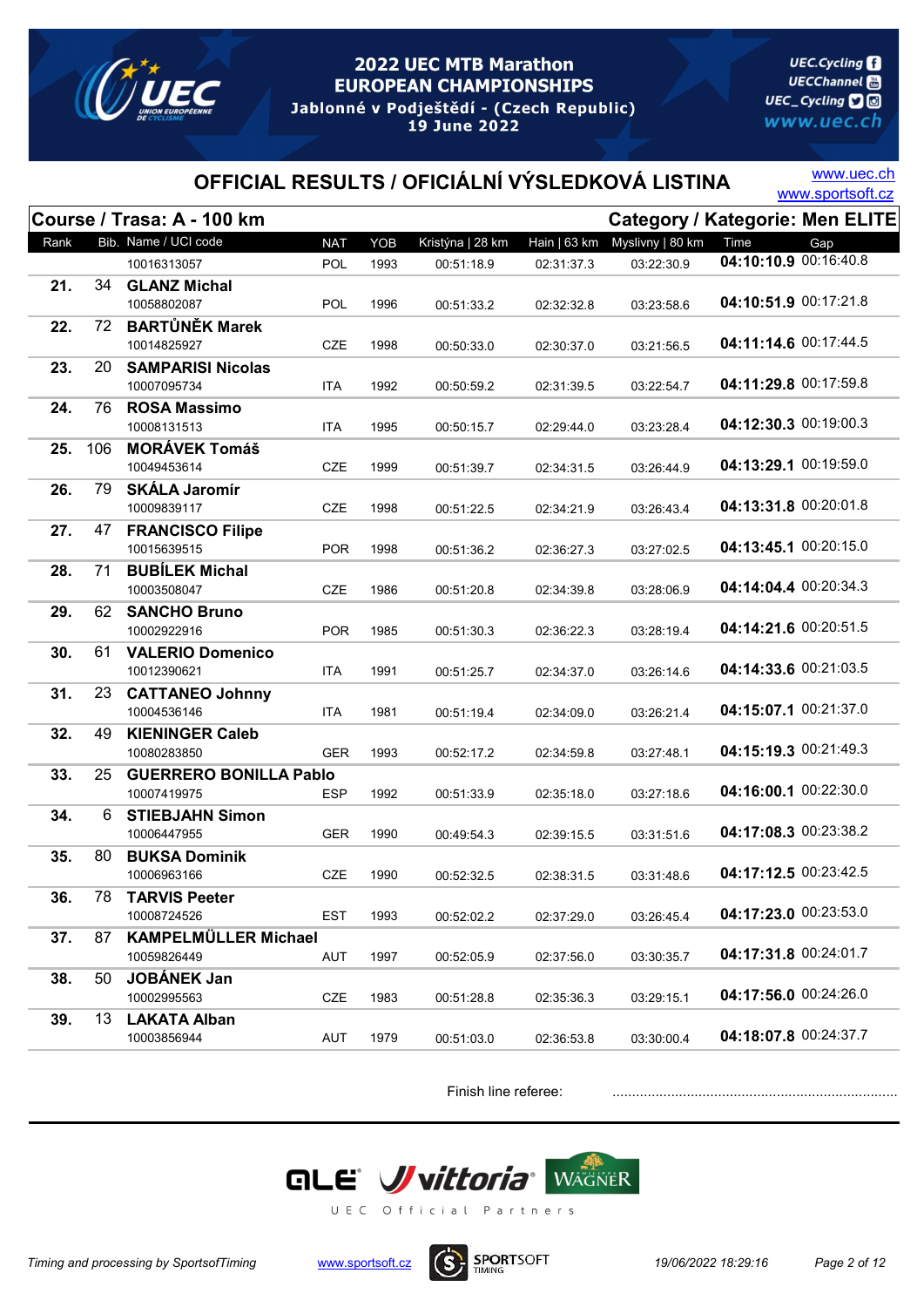

**UEC.Cycling UECChannel** 圖 UEC\_Cycling **D** www.uec.ch

# OFFICIAL RESULTS / OFICIÁLNÍ VÝSLEDKOVÁ LISTINA WWW.sportsoft.cz

www.uec.ch

|      |     | Course / Trasa: A - 100 km                 |            |      |                  |              | <b>Category / Kategorie: Men ELITE</b> |                       |     |
|------|-----|--------------------------------------------|------------|------|------------------|--------------|----------------------------------------|-----------------------|-----|
| Rank |     | Bib. Name / UCI code                       | <b>NAT</b> | YOB  | Kristýna   28 km | Hain   63 km | Myslivny   80 km                       | Time                  | Gap |
|      |     | 10016313057                                | POL        | 1993 | 00:51:18.9       | 02:31:37.3   | 03:22:30.9                             | 04:10:10.9 00:16:40.8 |     |
| 21.  | 34  | <b>GLANZ Michal</b>                        |            |      |                  |              |                                        |                       |     |
|      |     | 10058802087                                | <b>POL</b> | 1996 | 00:51:33.2       | 02:32:32.8   | 03:23:58.6                             | 04:10:51.9 00:17:21.8 |     |
| 22.  | 72  | <b>BARTŮNĚK Marek</b>                      |            |      |                  |              |                                        |                       |     |
|      |     | 10014825927                                | <b>CZE</b> | 1998 | 00:50:33.0       | 02:30:37.0   | 03:21:56.5                             | 04:11:14.6 00:17:44.5 |     |
| 23.  | 20  | <b>SAMPARISI Nicolas</b>                   |            |      |                  |              |                                        |                       |     |
|      |     | 10007095734                                | <b>ITA</b> | 1992 | 00:50:59.2       | 02:31:39.5   | 03:22:54.7                             | 04:11:29.8 00:17:59.8 |     |
| 24.  | 76  | <b>ROSA Massimo</b>                        |            |      |                  |              |                                        |                       |     |
|      |     | 10008131513                                | <b>ITA</b> | 1995 | 00:50:15.7       | 02:29:44.0   | 03:23:28.4                             | 04:12:30.3 00:19:00.3 |     |
| 25.  | 106 | <b>MORÁVEK Tomáš</b>                       |            |      |                  |              |                                        |                       |     |
|      |     | 10049453614                                | CZE        | 1999 | 00:51:39.7       | 02:34:31.5   | 03:26:44.9                             | 04:13:29.1 00:19:59.0 |     |
| 26.  | 79  | <b>SKÁLA Jaromír</b>                       |            |      |                  |              |                                        | 04:13:31.8 00:20:01.8 |     |
|      |     | 10009839117                                | <b>CZE</b> | 1998 | 00:51:22.5       | 02:34:21.9   | 03:26:43.4                             |                       |     |
| 27.  | 47  | <b>FRANCISCO Filipe</b><br>10015639515     | <b>POR</b> | 1998 | 00:51:36.2       |              |                                        | 04:13:45.1 00:20:15.0 |     |
|      |     | <b>BUBÍLEK Michal</b>                      |            |      |                  | 02:36:27.3   | 03:27:02.5                             |                       |     |
| 28.  | 71  | 10003508047                                | <b>CZE</b> | 1986 | 00:51:20.8       | 02:34:39.8   | 03:28:06.9                             | 04:14:04.4 00:20:34.3 |     |
| 29.  | 62  | <b>SANCHO Bruno</b>                        |            |      |                  |              |                                        |                       |     |
|      |     | 10002922916                                | <b>POR</b> | 1985 | 00:51:30.3       | 02:36:22.3   | 03:28:19.4                             | 04:14:21.6 00:20:51.5 |     |
| 30.  | 61  | <b>VALERIO Domenico</b>                    |            |      |                  |              |                                        |                       |     |
|      |     | 10012390621                                | <b>ITA</b> | 1991 | 00:51:25.7       | 02:34:37.0   | 03:26:14.6                             | 04:14:33.6 00:21:03.5 |     |
| 31.  | 23  | <b>CATTANEO Johnny</b>                     |            |      |                  |              |                                        |                       |     |
|      |     | 10004536146                                | ITA        | 1981 | 00:51:19.4       | 02:34:09.0   | 03:26:21.4                             | 04:15:07.1 00:21:37.0 |     |
| 32.  | 49  | <b>KIENINGER Caleb</b>                     |            |      |                  |              |                                        |                       |     |
|      |     | 10080283850                                | <b>GER</b> | 1993 | 00:52:17.2       | 02:34:59.8   | 03:27:48.1                             | 04:15:19.3 00:21:49.3 |     |
| 33.  | 25  | <b>GUERRERO BONILLA Pablo</b>              |            |      |                  |              |                                        |                       |     |
|      |     | 10007419975                                | ESP        | 1992 | 00:51:33.9       | 02:35:18.0   | 03:27:18.6                             | 04:16:00.1 00:22:30.0 |     |
| 34.  | 6   | <b>STIEBJAHN Simon</b>                     |            |      |                  |              |                                        |                       |     |
|      |     | 10006447955                                | <b>GER</b> | 1990 | 00:49:54.3       | 02:39:15.5   | 03:31:51.6                             | 04:17:08.3 00:23:38.2 |     |
| 35.  | 80  | <b>BUKSA Dominik</b>                       |            |      |                  |              |                                        |                       |     |
|      |     | 10006963166                                | <b>CZE</b> | 1990 | 00:52:32.5       | 02:38:31.5   | 03:31:48.6                             | 04:17:12.5 00:23:42.5 |     |
| 36.  | 78  | <b>TARVIS Peeter</b>                       |            |      |                  |              |                                        | 04:17:23.0 00:23:53.0 |     |
|      |     | 10008724526                                | <b>EST</b> | 1993 | 00:52:02.2       | 02:37:29.0   | 03:26:45.4                             |                       |     |
| 37.  | 87  | <b>KAMPELMÜLLER Michael</b><br>10059826449 |            |      |                  |              |                                        | 04:17:31.8 00:24:01.7 |     |
|      |     |                                            | AUT        | 1997 | 00:52:05.9       | 02:37:56.0   | 03:30:35.7                             |                       |     |
| 38.  | 50  | <b>JOBÁNEK Jan</b><br>10002995563          | <b>CZE</b> | 1983 |                  |              |                                        | 04:17:56.0 00:24:26.0 |     |
| 39.  | 13  | <b>LAKATA Alban</b>                        |            |      | 00:51:28.8       | 02:35:36.3   | 03:29:15.1                             |                       |     |
|      |     | 10003856944                                | AUT        | 1979 | 00:51:03.0       | 02:36:53.8   | 03:30:00.4                             | 04:18:07.8 00:24:37.7 |     |
|      |     |                                            |            |      |                  |              |                                        |                       |     |

Finish line referee: .......................................................................................



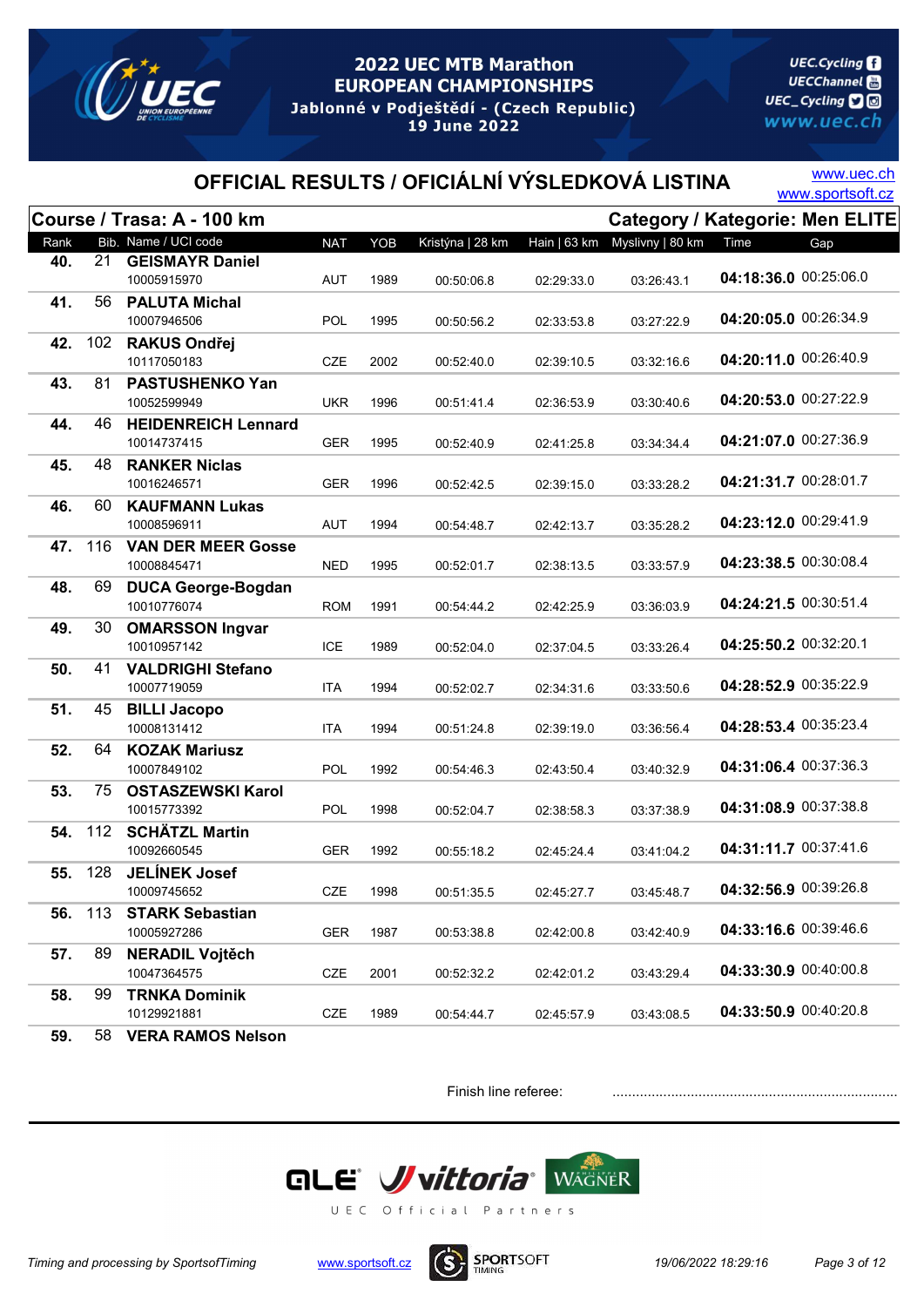

**UEC.Cycling UECChannel** 圖 UEC\_Cycling **D** www.uec.ch

# OFFICIAL RESULTS / OFICIÁLNÍ VÝSLEDKOVÁ LISTINA WWW.sportsoft.cz

www.uec.ch

|      |     | Course / Trasa: A - 100 km            |            |      |                  |              |                  |                       | <b>Category / Kategorie: Men ELITE</b> |
|------|-----|---------------------------------------|------------|------|------------------|--------------|------------------|-----------------------|----------------------------------------|
| Rank |     | Bib. Name / UCI code                  | <b>NAT</b> | YOB  | Kristýna   28 km | Hain   63 km | Myslivny   80 km | Time                  | Gap                                    |
| 40.  | 21  | <b>GEISMAYR Daniel</b>                |            |      |                  |              |                  |                       |                                        |
|      |     | 10005915970                           | AUT        | 1989 | 00:50:06.8       | 02:29:33.0   | 03:26:43.1       | 04:18:36.0 00:25:06.0 |                                        |
| 41.  | 56  | <b>PALUTA Michal</b>                  |            |      |                  |              |                  |                       |                                        |
|      |     | 10007946506                           | POL        | 1995 | 00:50:56.2       | 02:33:53.8   | 03:27:22.9       | 04:20:05.0 00:26:34.9 |                                        |
| 42.  | 102 | <b>RAKUS Ondřej</b>                   |            |      |                  |              |                  |                       |                                        |
|      |     | 10117050183                           | CZE        | 2002 | 00:52:40.0       | 02:39:10.5   | 03:32:16.6       | 04:20:11.0 00:26:40.9 |                                        |
| 43.  | 81  | PASTUSHENKO Yan                       |            |      |                  |              |                  |                       |                                        |
|      |     | 10052599949                           | <b>UKR</b> | 1996 | 00:51:41.4       | 02:36:53.9   | 03:30:40.6       | 04:20:53.0 00:27:22.9 |                                        |
| 44.  | 46  | <b>HEIDENREICH Lennard</b>            |            |      |                  |              |                  |                       |                                        |
|      |     | 10014737415                           | <b>GER</b> | 1995 | 00:52:40.9       | 02:41:25.8   | 03:34:34:4       | 04:21:07.0 00:27:36.9 |                                        |
| 45.  | 48  | <b>RANKER Niclas</b>                  |            |      |                  |              |                  |                       |                                        |
|      |     | 10016246571                           | <b>GER</b> | 1996 | 00:52:42.5       | 02:39:15.0   | 03:33:28.2       | 04:21:31.7 00:28:01.7 |                                        |
| 46.  | 60  | <b>KAUFMANN Lukas</b>                 |            |      |                  |              |                  |                       |                                        |
|      |     | 10008596911                           | AUT        | 1994 | 00:54:48.7       | 02:42:13.7   | 03:35:28.2       | 04:23:12.0 00:29:41.9 |                                        |
| 47.  | 116 | <b>VAN DER MEER Gosse</b>             |            |      |                  |              |                  |                       |                                        |
|      |     | 10008845471                           | <b>NED</b> | 1995 | 00:52:01.7       | 02:38:13.5   | 03:33:57.9       | 04:23:38.5 00:30:08.4 |                                        |
| 48.  | 69  | <b>DUCA George-Bogdan</b>             |            |      |                  |              |                  |                       |                                        |
|      |     | 10010776074                           | <b>ROM</b> | 1991 | 00:54:44.2       | 02:42:25.9   | 03:36:03.9       | 04:24:21.5 00:30:51.4 |                                        |
| 49.  | 30  | <b>OMARSSON Ingvar</b>                |            |      |                  |              |                  |                       |                                        |
|      |     | 10010957142                           | <b>ICE</b> | 1989 | 00:52:04.0       | 02:37:04.5   | 03:33:26.4       | 04:25:50.2 00:32:20.1 |                                        |
| 50.  | 41  | <b>VALDRIGHI Stefano</b>              |            |      |                  |              |                  |                       |                                        |
|      |     | 10007719059                           | <b>ITA</b> | 1994 | 00:52:02.7       | 02:34:31.6   | 03:33:50.6       | 04:28:52.9 00:35:22.9 |                                        |
| 51.  | 45  | <b>BILLI Jacopo</b>                   |            |      |                  |              |                  | 04:28:53.4 00:35:23.4 |                                        |
|      |     | 10008131412                           | <b>ITA</b> | 1994 | 00:51:24.8       | 02:39:19.0   | 03:36:56.4       |                       |                                        |
| 52.  | 64  | <b>KOZAK Mariusz</b>                  |            |      |                  |              |                  | 04:31:06.4 00:37:36.3 |                                        |
|      |     | 10007849102                           | <b>POL</b> | 1992 | 00:54:46.3       | 02:43:50.4   | 03:40:32.9       |                       |                                        |
| 53.  | 75  | <b>OSTASZEWSKI Karol</b>              |            |      |                  |              |                  | 04:31:08.9 00:37:38.8 |                                        |
|      |     | 10015773392                           | <b>POL</b> | 1998 | 00:52:04.7       | 02:38:58.3   | 03:37:38.9       |                       |                                        |
| 54.  | 112 | <b>SCHÄTZL Martin</b><br>10092660545  |            |      |                  |              |                  | 04:31:11.7 00:37:41.6 |                                        |
|      |     |                                       | <b>GER</b> | 1992 | 00:55:18.2       | 02:45:24.4   | 03:41:04.2       |                       |                                        |
| 55.  | 128 | <b>JELÍNEK Josef</b><br>10009745652   | <b>CZE</b> | 1998 |                  |              | 03:45:48.7       | 04:32:56.9 00:39:26.8 |                                        |
|      |     |                                       |            |      | 00:51:35.5       | 02:45:27.7   |                  |                       |                                        |
| 56.  | 113 | <b>STARK Sebastian</b><br>10005927286 | <b>GER</b> | 1987 | 00:53:38.8       | 02:42:00.8   | 03:42:40.9       | 04:33:16.6 00:39:46.6 |                                        |
| 57.  | 89  |                                       |            |      |                  |              |                  |                       |                                        |
|      |     | <b>NERADIL Vojtěch</b><br>10047364575 | CZE        | 2001 | 00:52:32.2       | 02:42:01.2   | 03:43:29.4       | 04:33:30.9 00:40:00.8 |                                        |
| 58.  | 99  | <b>TRNKA Dominik</b>                  |            |      |                  |              |                  |                       |                                        |
|      |     | 10129921881                           | CZE        | 1989 | 00:54:44.7       | 02:45:57.9   | 03:43:08.5       | 04:33:50.9 00:40:20.8 |                                        |
| -^   |     | <b>BAHAA NU</b>                       |            |      |                  |              |                  |                       |                                        |

59. 58 VERA RAMOS Nelson

Finish line referee:



Timing and processing by SportsofTiming www.sportsoft.cz **19/06/2022 18:29:16** Page 3 of 12

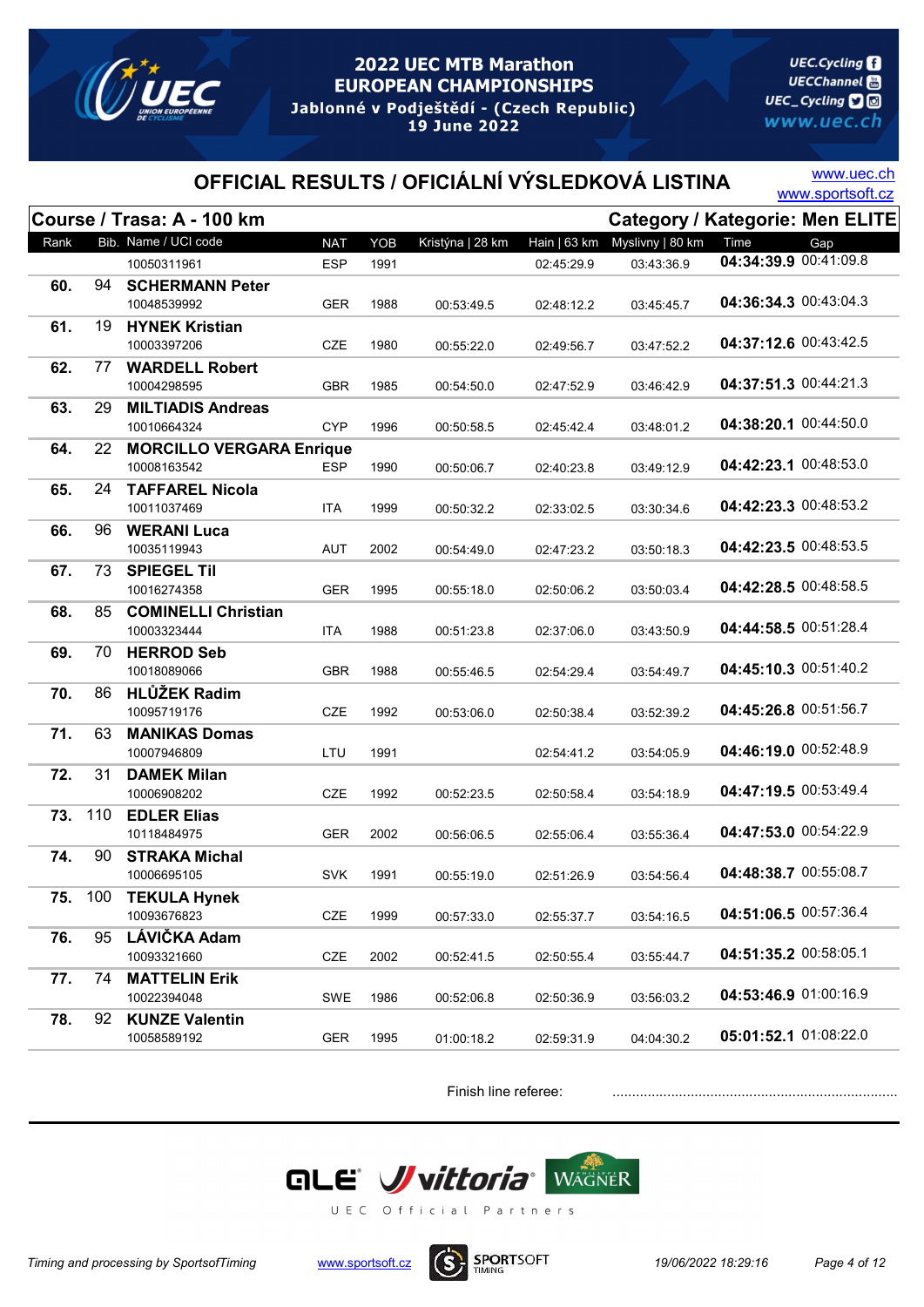

**UEC.Cycling UECChannel** 圖 UEC\_Cycling **D** www.uec.ch

# OFFICIAL RESULTS / OFICIÁLNÍ VÝSLEDKOVÁ LISTINA WWW.sportsoft.cz

www.uec.ch

|      |     | Course / Trasa: A - 100 km       |            |      |                  |              | <b>Category / Kategorie: Men ELITE</b> |                       |     |
|------|-----|----------------------------------|------------|------|------------------|--------------|----------------------------------------|-----------------------|-----|
| Rank |     | Bib. Name / UCI code             | <b>NAT</b> | YOB  | Kristýna   28 km | Hain   63 km | Myslivny   80 km                       | Time                  | Gap |
|      |     | 10050311961                      | <b>ESP</b> | 1991 |                  | 02:45:29.9   | 03:43:36.9                             | 04:34:39.9 00:41:09.8 |     |
| 60.  | 94  | <b>SCHERMANN Peter</b>           |            |      |                  |              |                                        |                       |     |
|      |     | 10048539992                      | <b>GER</b> | 1988 | 00:53:49.5       | 02:48:12.2   | 03:45:45.7                             | 04:36:34.3 00:43:04.3 |     |
| 61.  | 19  | <b>HYNEK Kristian</b>            |            |      |                  |              |                                        |                       |     |
|      |     | 10003397206                      | <b>CZE</b> | 1980 | 00:55:22.0       | 02:49:56.7   | 03:47:52.2                             | 04:37:12.6 00:43:42.5 |     |
| 62.  | 77  | <b>WARDELL Robert</b>            |            |      |                  |              |                                        |                       |     |
|      |     | 10004298595                      | <b>GBR</b> | 1985 | 00:54:50.0       | 02:47:52.9   | 03:46:42.9                             | 04:37:51.3 00:44:21.3 |     |
| 63.  | 29  | <b>MILTIADIS Andreas</b>         |            |      |                  |              |                                        |                       |     |
|      |     | 10010664324                      | <b>CYP</b> | 1996 | 00:50:58.5       | 02:45:42.4   | 03:48:01.2                             | 04:38:20.1 00:44:50.0 |     |
| 64.  | 22  | <b>MORCILLO VERGARA Enrique</b>  |            |      |                  |              |                                        |                       |     |
|      |     | 10008163542                      | ESP        | 1990 | 00:50:06.7       | 02:40:23.8   | 03:49:12.9                             | 04:42:23.1 00:48:53.0 |     |
| 65.  | 24  | <b>TAFFAREL Nicola</b>           |            |      |                  |              |                                        |                       |     |
|      |     | 10011037469                      | <b>ITA</b> | 1999 | 00:50:32.2       | 02:33:02.5   | 03:30:34.6                             | 04:42:23.3 00:48:53.2 |     |
| 66.  | 96  | <b>WERANI Luca</b>               |            |      |                  |              |                                        | 04:42:23.5 00:48:53.5 |     |
|      |     | 10035119943                      | <b>AUT</b> | 2002 | 00:54:49.0       | 02:47:23.2   | 03:50:18.3                             |                       |     |
| 67.  | 73  | <b>SPIEGEL Til</b>               |            |      |                  |              |                                        | 04:42:28.5 00:48:58.5 |     |
|      |     | 10016274358                      | <b>GER</b> | 1995 | 00:55:18.0       | 02:50:06.2   | 03:50:03.4                             |                       |     |
| 68.  | 85  | <b>COMINELLI Christian</b>       | <b>ITA</b> |      |                  |              |                                        | 04:44:58.5 00:51:28.4 |     |
|      | 70  | 10003323444                      |            | 1988 | 00:51:23.8       | 02:37:06.0   | 03:43:50.9                             |                       |     |
| 69.  |     | <b>HERROD Seb</b><br>10018089066 | <b>GBR</b> | 1988 | 00:55:46.5       | 02:54:29.4   | 03:54:49.7                             | 04:45:10.3 00:51:40.2 |     |
| 70.  | 86  | <b>HLŮŽEK Radim</b>              |            |      |                  |              |                                        |                       |     |
|      |     | 10095719176                      | CZE        | 1992 | 00:53:06.0       | 02:50:38.4   | 03:52:39.2                             | 04:45:26.8 00:51:56.7 |     |
| 71.  | 63  | <b>MANIKAS Domas</b>             |            |      |                  |              |                                        |                       |     |
|      |     | 10007946809                      | LTU        | 1991 |                  | 02:54:41.2   | 03:54:05.9                             | 04:46:19.0 00:52:48.9 |     |
| 72.  | 31  | <b>DAMEK Milan</b>               |            |      |                  |              |                                        |                       |     |
|      |     | 10006908202                      | <b>CZE</b> | 1992 | 00:52:23.5       | 02:50:58.4   | 03:54:18.9                             | 04:47:19.5 00:53:49.4 |     |
| 73.  | 110 | <b>EDLER Elias</b>               |            |      |                  |              |                                        |                       |     |
|      |     | 10118484975                      | <b>GER</b> | 2002 | 00:56:06.5       | 02:55:06.4   | 03:55:36.4                             | 04:47:53.0 00:54:22.9 |     |
| 74.  | 90  | <b>STRAKA Michal</b>             |            |      |                  |              |                                        |                       |     |
|      |     | 10006695105                      | <b>SVK</b> | 1991 | 00:55:19.0       | 02:51:26.9   | 03:54:56.4                             | 04:48:38.7 00:55:08.7 |     |
| 75.  | 100 | <b>TEKULA Hynek</b>              |            |      |                  |              |                                        |                       |     |
|      |     | 10093676823                      | CZE        | 1999 | 00:57:33.0       | 02:55:37.7   | 03:54:16.5                             | 04:51:06.5 00:57:36.4 |     |
| 76.  | 95  | LÁVIČKA Adam                     |            |      |                  |              |                                        |                       |     |
|      |     | 10093321660                      | CZE        | 2002 | 00:52:41.5       | 02:50:55.4   | 03:55:44.7                             | 04:51:35.2 00:58:05.1 |     |
| 77.  | 74  | <b>MATTELIN Erik</b>             |            |      |                  |              |                                        |                       |     |
|      |     | 10022394048                      | SWE        | 1986 | 00:52:06.8       | 02:50:36.9   | 03:56:03.2                             | 04:53:46.9 01:00:16.9 |     |
| 78.  | 92  | <b>KUNZE Valentin</b>            |            |      |                  |              |                                        |                       |     |
|      |     | 10058589192                      | <b>GER</b> | 1995 | 01:00:18.2       | 02:59:31.9   | 04:04:30.2                             | 05:01:52.1 01:08:22.0 |     |



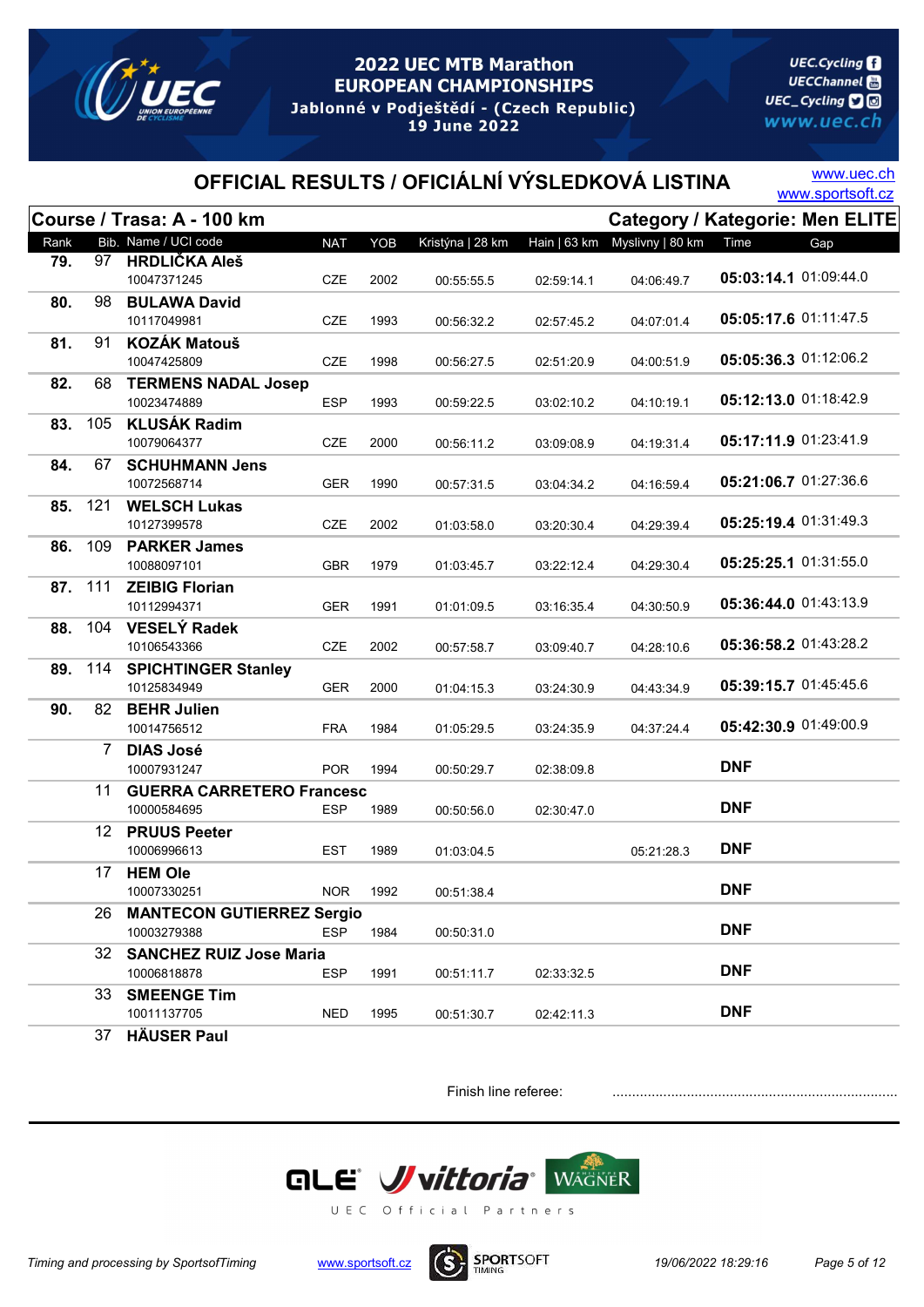

**UEC.Cycling UECChannel** 圖 UEC\_Cycling **D** www.uec.ch

# OFFICIAL RESULTS / OFICIÁLNÍ VÝSLEDKOVÁ LISTINA WWW.sportsoft.cz

www.uec.ch

|      |         | Course / Trasa: A - 100 km       |            |      |                  |              |                  |                       | Category / Kategorie: Men ELITE |
|------|---------|----------------------------------|------------|------|------------------|--------------|------------------|-----------------------|---------------------------------|
| Rank |         | Bib. Name / UCI code             | <b>NAT</b> | YOB  | Kristýna   28 km | Hain   63 km | Myslivny   80 km | Time                  | Gap                             |
| 79.  | 97      | <b>HRDLIČKA Aleš</b>             |            |      |                  |              |                  |                       |                                 |
|      |         | 10047371245                      | <b>CZE</b> | 2002 | 00:55:55.5       | 02:59:14.1   | 04:06:49.7       | 05:03:14.1 01:09:44.0 |                                 |
| 80.  | 98      | <b>BULAWA David</b>              |            |      |                  |              |                  |                       |                                 |
|      |         | 10117049981                      | CZE        | 1993 | 00:56:32.2       | 02:57:45.2   | 04:07:01.4       | 05:05:17.6 01:11:47.5 |                                 |
| 81.  | 91      | <b>KOZÁK Matouš</b>              |            |      |                  |              |                  |                       |                                 |
|      |         | 10047425809                      | CZE        | 1998 | 00:56:27.5       | 02:51:20.9   | 04:00:51.9       | 05:05:36.3 01:12:06.2 |                                 |
| 82.  | 68      | <b>TERMENS NADAL Josep</b>       |            |      |                  |              |                  |                       |                                 |
|      |         | 10023474889                      | <b>ESP</b> | 1993 | 00:59:22.5       | 03:02:10.2   | 04:10:19.1       | 05:12:13.0 01:18:42.9 |                                 |
| 83.  | 105     | <b>KLUSÁK Radim</b>              |            |      |                  |              |                  |                       |                                 |
|      |         | 10079064377                      | CZE        | 2000 | 00:56:11.2       | 03:09:08.9   | 04:19:31.4       | 05:17:11.9 01:23:41.9 |                                 |
| 84.  | 67      | <b>SCHUHMANN Jens</b>            |            |      |                  |              |                  |                       |                                 |
|      |         | 10072568714                      | <b>GER</b> | 1990 | 00:57:31.5       | 03:04:34.2   | 04:16:59.4       | 05:21:06.7 01:27:36.6 |                                 |
| 85.  | 121     | <b>WELSCH Lukas</b>              |            |      |                  |              |                  |                       |                                 |
|      |         | 10127399578                      | <b>CZE</b> | 2002 | 01:03:58.0       | 03:20:30.4   | 04:29:39.4       | 05:25:19.4 01:31:49.3 |                                 |
| 86.  | 109     | <b>PARKER James</b>              |            |      |                  |              |                  |                       |                                 |
|      |         | 10088097101                      | <b>GBR</b> | 1979 | 01:03:45.7       | 03:22:12.4   | 04:29:30.4       | 05:25:25.1 01:31:55.0 |                                 |
|      | 87. 111 | <b>ZEIBIG Florian</b>            |            |      |                  |              |                  |                       |                                 |
|      |         | 10112994371                      | GER        | 1991 | 01:01:09.5       | 03:16:35.4   | 04:30:50.9       | 05:36:44.0 01:43:13.9 |                                 |
| 88.  | 104     | <b>VESELÝ Radek</b>              |            |      |                  |              |                  |                       |                                 |
|      |         | 10106543366                      | <b>CZE</b> | 2002 | 00:57:58.7       | 03:09:40.7   | 04:28:10.6       | 05:36:58.2 01:43:28.2 |                                 |
| 89.  | 114     | <b>SPICHTINGER Stanley</b>       |            |      |                  |              |                  |                       |                                 |
|      |         | 10125834949                      | <b>GER</b> | 2000 | 01:04:15.3       | 03:24:30.9   | 04:43:34.9       | 05:39:15.7 01:45:45.6 |                                 |
| 90.  | 82      | <b>BEHR Julien</b>               |            |      |                  |              |                  |                       |                                 |
|      |         | 10014756512                      | <b>FRA</b> | 1984 | 01:05:29.5       | 03:24:35.9   | 04:37:24.4       | 05:42:30.9 01:49:00.9 |                                 |
|      | 7       | <b>DIAS José</b>                 |            |      |                  |              |                  |                       |                                 |
|      |         | 10007931247                      | <b>POR</b> | 1994 | 00:50:29.7       | 02:38:09.8   |                  | <b>DNF</b>            |                                 |
|      | 11      | <b>GUERRA CARRETERO Francesc</b> |            |      |                  |              |                  |                       |                                 |
|      |         | 10000584695                      | ESP        | 1989 | 00:50:56.0       | 02:30:47.0   |                  | <b>DNF</b>            |                                 |
|      |         | 12 PRUUS Peeter                  |            |      |                  |              |                  |                       |                                 |
|      |         | 10006996613                      | <b>EST</b> | 1989 | 01:03:04.5       |              | 05:21:28.3       | <b>DNF</b>            |                                 |
|      | 17      | <b>HEM Ole</b>                   |            |      |                  |              |                  |                       |                                 |
|      |         | 10007330251                      | <b>NOR</b> | 1992 | 00:51:38.4       |              |                  | <b>DNF</b>            |                                 |
|      | 26      | <b>MANTECON GUTIERREZ Sergio</b> |            |      |                  |              |                  | <b>DNF</b>            |                                 |
|      |         | 10003279388                      | <b>ESP</b> | 1984 | 00:50:31.0       |              |                  |                       |                                 |
|      | 32      | <b>SANCHEZ RUIZ Jose Maria</b>   |            |      |                  |              |                  | <b>DNF</b>            |                                 |
|      |         | 10006818878                      | <b>ESP</b> | 1991 | 00:51:11.7       | 02:33:32.5   |                  |                       |                                 |
|      | 33      | <b>SMEENGE Tim</b>               |            |      |                  |              |                  | <b>DNF</b>            |                                 |
|      |         | 10011137705                      | <b>NED</b> | 1995 | 00:51:30.7       | 02:42:11.3   |                  |                       |                                 |
|      | 37      | <b>HÄUSER Paul</b>               |            |      |                  |              |                  |                       |                                 |

Finish line referee: .......................................................................................



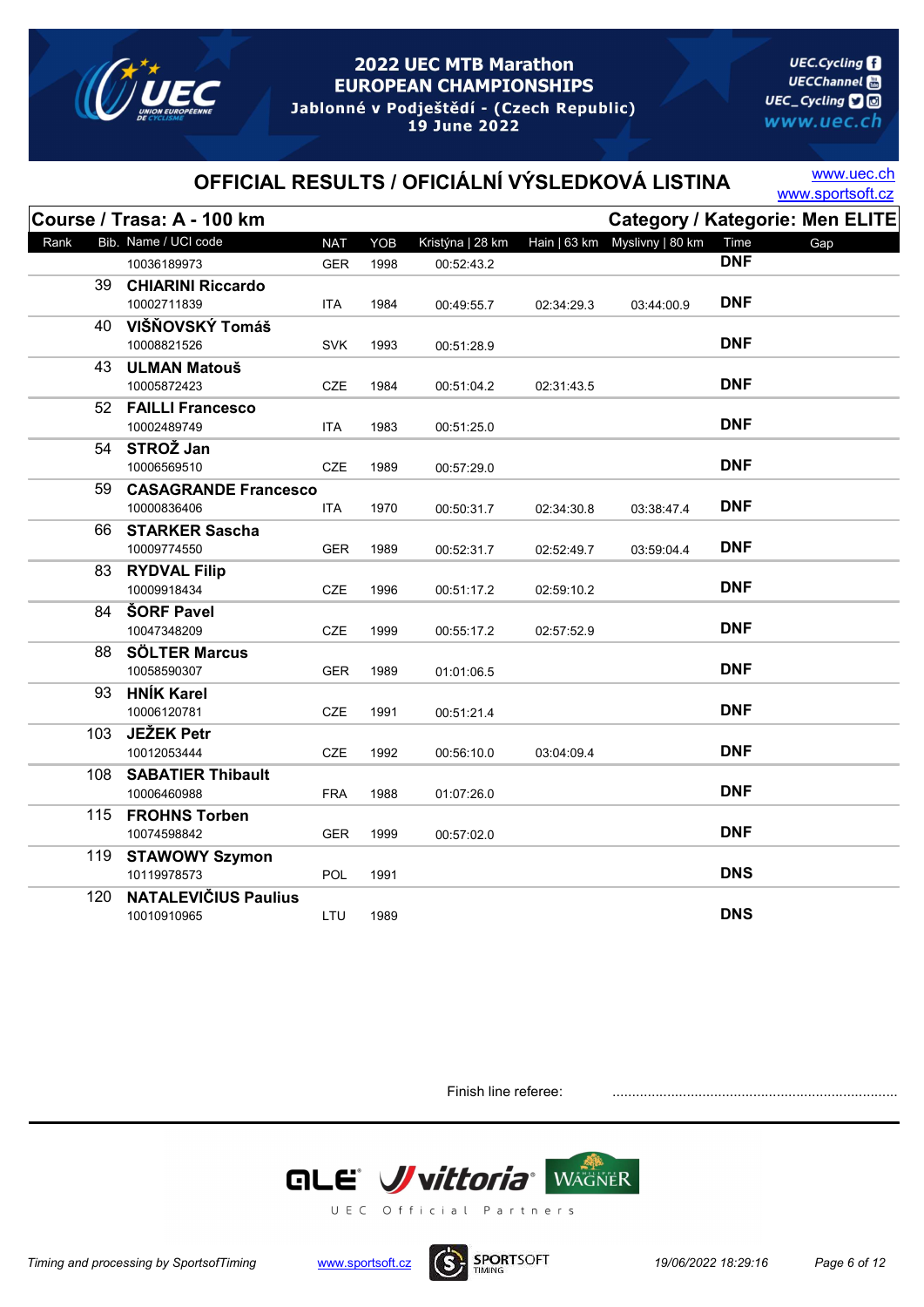

**UEC.Cycling UECChannel** 圖 UEC\_Cycling **D** www.uec.ch

# OFFICIAL RESULTS / OFICIÁLNÍ VÝSLEDKOVÁ LISTINA WWW.sportsoft.cz

www.uec.ch

|      | Course / Trasa: A - 100 km              |            |      |                  |            | Category / Kategorie: Men ELITE |            |     |  |
|------|-----------------------------------------|------------|------|------------------|------------|---------------------------------|------------|-----|--|
| Rank | Bib. Name / UCI code                    | <b>NAT</b> | YOB  | Kristýna   28 km |            | Hain   63 km  Myslivny   80 km  | Time       | Gap |  |
|      | 10036189973                             | <b>GER</b> | 1998 | 00:52:43.2       |            |                                 | <b>DNF</b> |     |  |
|      | 39 CHIARINI Riccardo                    |            |      |                  |            |                                 |            |     |  |
|      | 10002711839                             | <b>ITA</b> | 1984 | 00:49:55.7       | 02:34:29.3 | 03:44:00.9                      | <b>DNF</b> |     |  |
|      | 40 VIŠŇOVSKÝ Tomáš                      |            |      |                  |            |                                 |            |     |  |
|      | 10008821526                             | <b>SVK</b> | 1993 | 00:51:28.9       |            |                                 | <b>DNF</b> |     |  |
|      | 43 ULMAN Matouš                         |            |      |                  |            |                                 |            |     |  |
|      | 10005872423                             | CZE        | 1984 | 00:51:04.2       | 02:31:43.5 |                                 | <b>DNF</b> |     |  |
|      | 52 FAILLI Francesco                     |            |      |                  |            |                                 |            |     |  |
|      | 10002489749                             | <b>ITA</b> | 1983 | 00:51:25.0       |            |                                 | <b>DNF</b> |     |  |
|      | 54 STROŽ Jan                            |            |      |                  |            |                                 |            |     |  |
|      | 10006569510                             | <b>CZE</b> | 1989 | 00:57:29.0       |            |                                 | <b>DNF</b> |     |  |
| 59.  | <b>CASAGRANDE Francesco</b>             |            |      |                  |            |                                 |            |     |  |
|      | 10000836406                             | <b>ITA</b> | 1970 | 00:50:31.7       | 02:34:30.8 | 03:38:47.4                      | <b>DNF</b> |     |  |
| 66   | <b>STARKER Sascha</b>                   |            |      |                  |            |                                 |            |     |  |
|      | 10009774550                             | <b>GER</b> | 1989 | 00:52:31.7       | 02:52:49.7 | 03:59:04.4                      | <b>DNF</b> |     |  |
|      | 83 RYDVAL Filip                         |            |      |                  |            |                                 |            |     |  |
|      | 10009918434                             | CZE        | 1996 | 00:51:17.2       | 02:59:10.2 |                                 | <b>DNF</b> |     |  |
|      | 84 ŠORF Pavel                           |            |      |                  |            |                                 |            |     |  |
|      | 10047348209                             | CZE        | 1999 | 00:55:17.2       | 02:57:52.9 |                                 | <b>DNF</b> |     |  |
| 88.  | <b>SÖLTER Marcus</b>                    |            |      |                  |            |                                 | <b>DNF</b> |     |  |
|      | 10058590307                             | <b>GER</b> | 1989 | 01:01:06.5       |            |                                 |            |     |  |
| 93   | <b>HNÍK Karel</b>                       |            |      |                  |            |                                 | <b>DNF</b> |     |  |
|      | 10006120781                             | CZE        | 1991 | 00:51:21.4       |            |                                 |            |     |  |
| 103  | JEŽEK Petr                              |            |      |                  |            |                                 | <b>DNF</b> |     |  |
|      | 10012053444                             | CZE        | 1992 | 00:56:10.0       | 03:04:09.4 |                                 |            |     |  |
| 108  | <b>SABATIER Thibault</b><br>10006460988 | <b>FRA</b> | 1988 |                  |            |                                 | <b>DNF</b> |     |  |
|      |                                         |            |      | 01:07:26.0       |            |                                 |            |     |  |
|      | 115 FROHNS Torben<br>10074598842        | <b>GER</b> | 1999 | 00:57:02.0       |            |                                 | <b>DNF</b> |     |  |
|      | 119 STAWOWY Szymon                      |            |      |                  |            |                                 |            |     |  |
|      | 10119978573                             | <b>POL</b> | 1991 |                  |            |                                 | <b>DNS</b> |     |  |
| 120  | <b>NATALEVIČIUS Paulius</b>             |            |      |                  |            |                                 |            |     |  |
|      | 10010910965                             | LTU        | 1989 |                  |            |                                 | <b>DNS</b> |     |  |
|      |                                         |            |      |                  |            |                                 |            |     |  |

Finish line referee:



UEC Official Partners

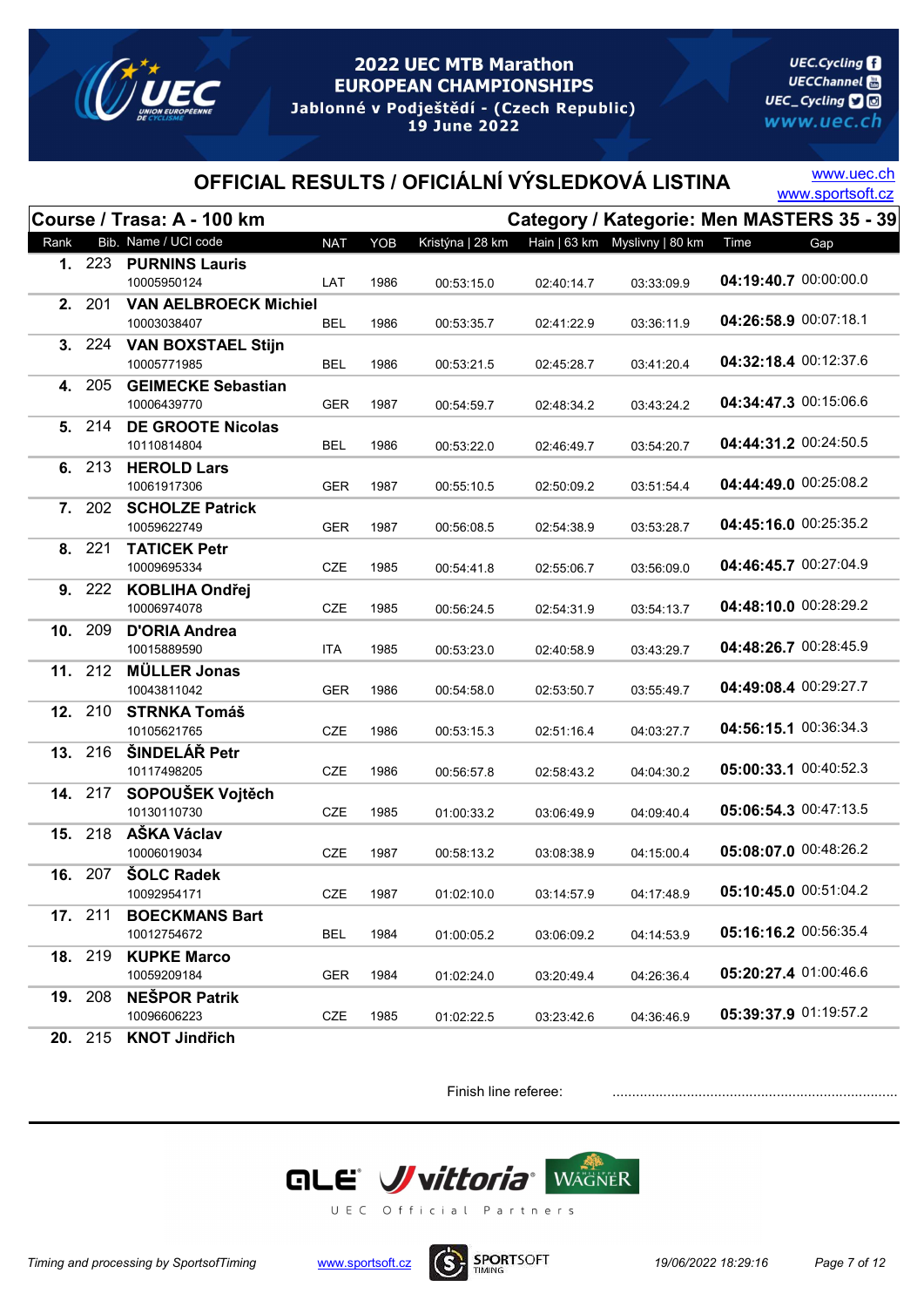

**UEC.Cycling UECChannel** 圖 UEC\_Cycling **D** www.uec.ch

# OFFICIAL RESULTS / OFICIÁLNÍ VÝSLEDKOVÁ LISTINA WWW.sportsoft.cz

www.uec.ch

|      |                | Course / Trasa: A - 100 km         |            |      |                  |            |                                |                       | Category / Kategorie: Men MASTERS 35 - 39 |
|------|----------------|------------------------------------|------------|------|------------------|------------|--------------------------------|-----------------------|-------------------------------------------|
| Rank |                | Bib. Name / UCI code               | <b>NAT</b> | YOB  | Kristýna   28 km |            | Hain   63 km  Myslivny   80 km | Time                  | Gap                                       |
|      |                | 1. 223 PURNINS Lauris              |            |      |                  |            |                                |                       |                                           |
|      |                | 10005950124                        | LAT        | 1986 | 00:53:15.0       | 02:40:14.7 | 03:33:09.9                     | 04:19:40.7 00:00:00.0 |                                           |
|      | 2. 201         | <b>VAN AELBROECK Michiel</b>       |            |      |                  |            |                                |                       |                                           |
|      |                | 10003038407                        | BEL        | 1986 | 00:53:35.7       | 02:41:22.9 | 03:36:11.9                     | 04:26:58.9 00:07:18.1 |                                           |
|      | 3. 224         | <b>VAN BOXSTAEL Stijn</b>          |            |      |                  |            |                                |                       |                                           |
|      |                | 10005771985                        | <b>BEL</b> | 1986 | 00:53:21.5       | 02:45:28.7 | 03:41:20.4                     | 04:32:18.4 00:12:37.6 |                                           |
|      | 4. 205         | <b>GEIMECKE Sebastian</b>          |            |      |                  |            |                                |                       |                                           |
|      |                | 10006439770                        | <b>GER</b> | 1987 | 00:54:59.7       | 02:48:34.2 | 03:43:24.2                     | 04:34:47.3 00:15:06.6 |                                           |
|      | 5. 214         | <b>DE GROOTE Nicolas</b>           |            |      |                  |            |                                |                       |                                           |
|      |                | 10110814804                        | <b>BEL</b> | 1986 | 00:53:22.0       | 02:46:49.7 | 03:54:20.7                     | 04:44:31.2 00:24:50.5 |                                           |
|      | 6. 213         | <b>HEROLD Lars</b>                 |            |      |                  |            |                                | 04:44:49.0 00:25:08.2 |                                           |
|      |                | 10061917306                        | <b>GER</b> | 1987 | 00:55:10.5       | 02:50:09.2 | 03:51:54.4                     |                       |                                           |
|      | 7. 202         | <b>SCHOLZE Patrick</b>             |            |      |                  |            |                                | 04:45:16.0 00:25:35.2 |                                           |
|      |                | 10059622749                        | GER        | 1987 | 00:56:08.5       | 02:54:38.9 | 03:53:28.7                     |                       |                                           |
|      | 8. 221         | <b>TATICEK Petr</b><br>10009695334 | <b>CZE</b> | 1985 |                  | 02:55:06.7 | 03:56:09.0                     | 04:46:45.7 00:27:04.9 |                                           |
|      | 9. 222         | <b>KOBLIHA Ondřej</b>              |            |      | 00:54:41.8       |            |                                |                       |                                           |
|      |                | 10006974078                        | <b>CZE</b> | 1985 | 00:56:24.5       | 02:54:31.9 | 03:54:13.7                     | 04:48:10.0 00:28:29.2 |                                           |
| 10.  | 209            | <b>D'ORIA Andrea</b>               |            |      |                  |            |                                |                       |                                           |
|      |                | 10015889590                        | <b>ITA</b> | 1985 | 00:53:23.0       | 02:40:58.9 | 03:43:29.7                     | 04:48:26.7 00:28:45.9 |                                           |
|      | 11. 212        | <b>MÜLLER Jonas</b>                |            |      |                  |            |                                |                       |                                           |
|      |                | 10043811042                        | <b>GER</b> | 1986 | 00:54:58.0       | 02:53:50.7 | 03:55:49.7                     | 04:49:08.4 00:29:27.7 |                                           |
|      | 12. 210        | <b>STRNKA Tomáš</b>                |            |      |                  |            |                                |                       |                                           |
|      |                | 10105621765                        | CZE        | 1986 | 00:53:15.3       | 02:51:16.4 | 04:03:27.7                     | 04:56:15.1 00:36:34.3 |                                           |
|      | 13. 216        | ŠINDELÁŘ Petr                      |            |      |                  |            |                                |                       |                                           |
|      |                | 10117498205                        | <b>CZE</b> | 1986 | 00:56:57.8       | 02:58:43.2 | 04:04:30.2                     | 05:00:33.1 00:40:52.3 |                                           |
|      | 14. 217        | SOPOUŠEK Vojtěch                   |            |      |                  |            |                                |                       |                                           |
|      |                | 10130110730                        | CZE        | 1985 | 01:00:33.2       | 03:06:49.9 | 04:09:40.4                     | 05:06:54.3 00:47:13.5 |                                           |
|      | 15. 218        | AŠKA Václav                        |            |      |                  |            |                                |                       |                                           |
|      |                | 10006019034                        | <b>CZE</b> | 1987 | 00:58:13.2       | 03:08:38.9 | 04:15:00.4                     | 05:08:07.0 00:48:26.2 |                                           |
|      | 16. 207        | <b>SOLC Radek</b>                  |            |      |                  |            |                                |                       |                                           |
|      |                | 10092954171                        | CZE        | 1987 | 01:02:10.0       | 03:14:57.9 | 04:17:48.9                     | 05:10:45.0 00:51:04.2 |                                           |
|      | <b>17.</b> 211 | <b>BOECKMANS Bart</b>              |            |      |                  |            |                                |                       |                                           |
|      |                | 10012754672                        | <b>BEL</b> | 1984 | 01:00:05.2       | 03:06:09.2 | 04:14:53.9                     | 05:16:16.2 00:56:35.4 |                                           |
|      | 18. 219        | <b>KUPKE Marco</b>                 |            |      |                  |            |                                |                       |                                           |
|      |                | 10059209184                        | <b>GER</b> | 1984 | 01:02:24.0       | 03:20:49.4 | 04:26:36.4                     | 05:20:27.4 01:00:46.6 |                                           |
|      | 19. 208        | <b>NEŠPOR Patrik</b>               |            |      |                  |            |                                |                       |                                           |
|      |                | 10096606223                        | CZE        | 1985 | 01:02:22.5       | 03:23:42.6 | 04:36:46.9                     | 05:39:37.9 01:19:57.2 |                                           |
|      |                | 20. 215 KNOT Jindřich              |            |      |                  |            |                                |                       |                                           |

Finish line referee: .......................................................................................



Timing and processing by SportsofTiming www.sportsoft.cz **19/06/2022 18:29:16** Page 7 of 12

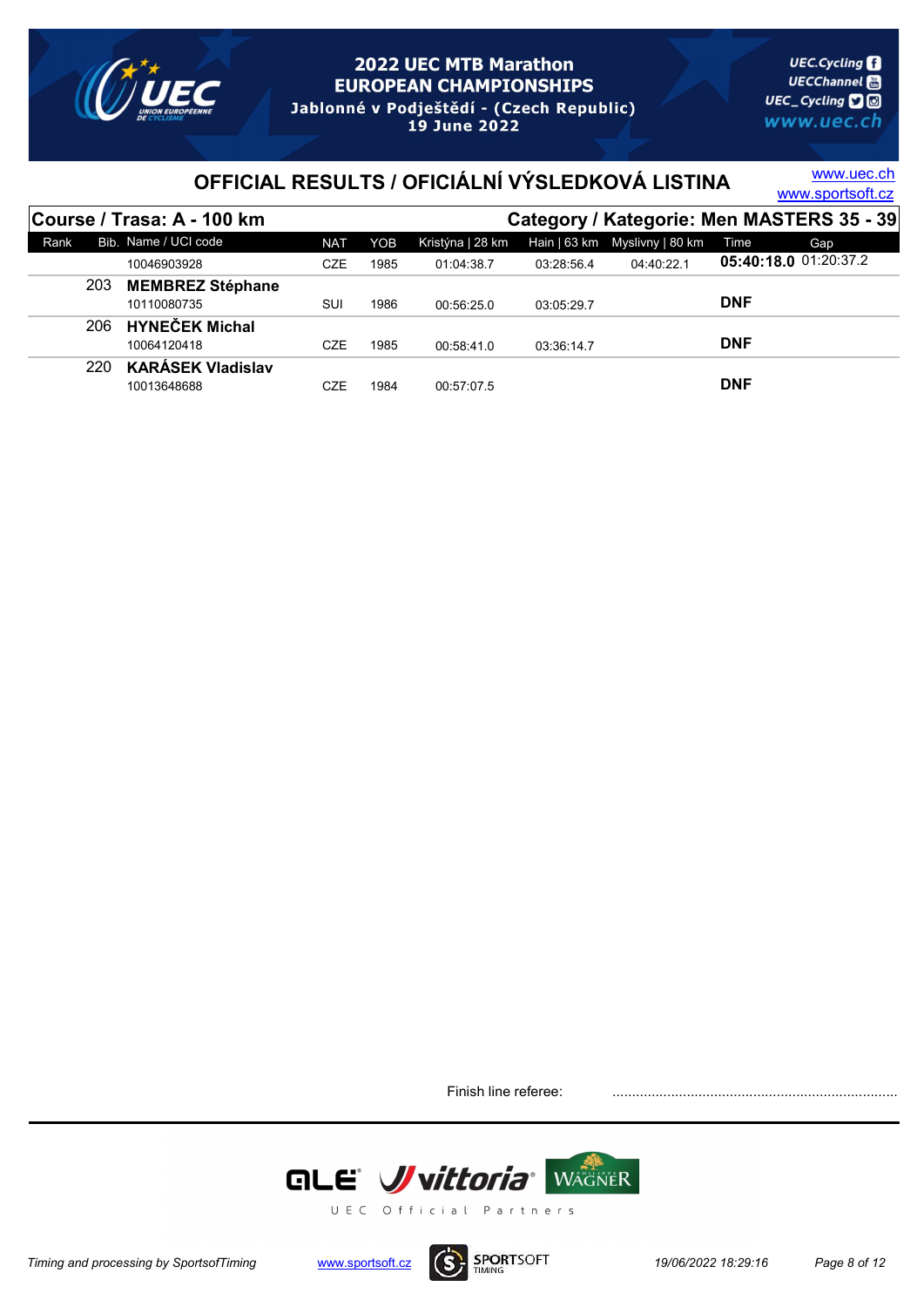

# OFFICIAL RESULTS / OFICIÁLNÍ VÝSLEDKOVÁ LISTINA WWW.sportsoft.cz

www.uec.ch

|      | <b>Course / Trasa: A - 100 km</b> |            |      |                  |            | Category / Kategorie: Men MASTERS 35 - 39 |            |                       |  |
|------|-----------------------------------|------------|------|------------------|------------|-------------------------------------------|------------|-----------------------|--|
| Rank | Bib. Name / UCI code              | <b>NAT</b> | YOB  | Kristýna   28 km |            | Hain   63 km Myslivny   80 km             | Time       | Gap                   |  |
|      | 10046903928                       | <b>CZE</b> | 1985 | 01:04:38.7       | 03:28:56.4 | 04:40:22.1                                |            | 05:40:18.0 01:20:37.2 |  |
| 203  | <b>MEMBREZ Stéphane</b>           |            |      |                  |            |                                           |            |                       |  |
|      | 10110080735                       | SUI        | 1986 | 00:56:25.0       | 03:05:29.7 |                                           | <b>DNF</b> |                       |  |
| 206  | <b>HYNEČEK Michal</b>             |            |      |                  |            |                                           |            |                       |  |
|      | 10064120418                       | CZE        | 1985 | 00:58:41.0       | 03:36:14.7 |                                           | <b>DNF</b> |                       |  |
| 220  | <b>KARÁSEK Vladislav</b>          |            |      |                  |            |                                           |            |                       |  |
|      | 10013648688                       | CZE        | 1984 | 00:57:07.5       |            |                                           | <b>DNF</b> |                       |  |

Finish line referee: .......................................................................................



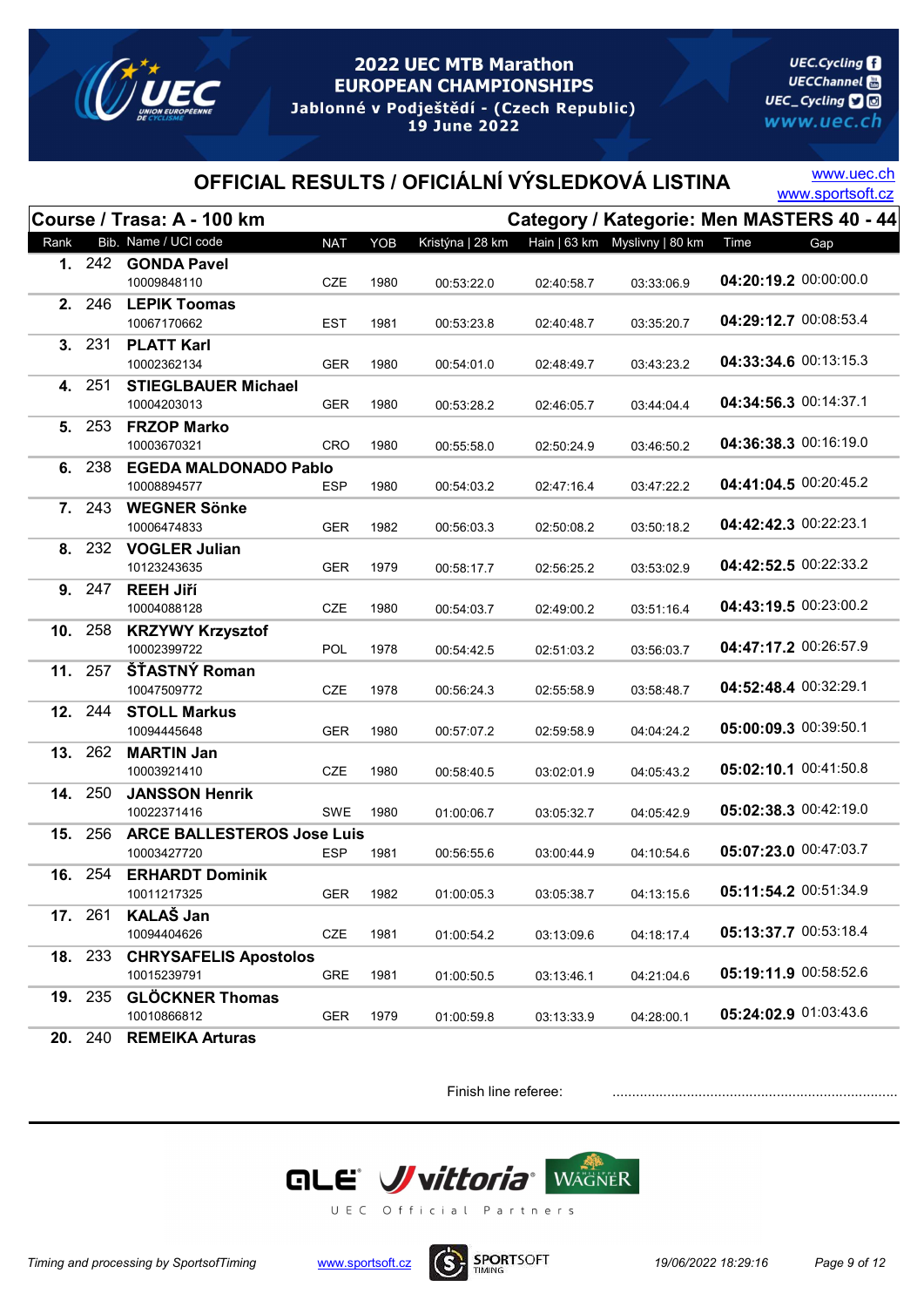

**UEC.Cycling UECChannel** 圖 UEC\_Cycling **D** www.uec.ch

## OFFICIAL RESULTS / OFICIÁLNÍ VÝSLEDKOVÁ LISTINA WWW.sportsoft.cz

www.uec.ch

|      |                | Course / Trasa: A - 100 km                |            |      |                  |            |                                |                       | Category / Kategorie: Men MASTERS 40 - 44 |
|------|----------------|-------------------------------------------|------------|------|------------------|------------|--------------------------------|-----------------------|-------------------------------------------|
| Rank |                | Bib. Name / UCI code                      | <b>NAT</b> | YOB  | Kristýna   28 km |            | Hain   63 km  Myslivny   80 km | Time                  | Gap                                       |
|      |                | 1. 242 GONDA Pavel                        |            |      |                  |            |                                |                       |                                           |
|      |                | 10009848110                               | <b>CZE</b> | 1980 | 00:53:22.0       | 02:40:58.7 | 03:33:06.9                     | 04:20:19.2 00:00:00.0 |                                           |
|      | <b>2.</b> 246  | <b>LEPIK Toomas</b>                       |            |      |                  |            |                                |                       |                                           |
|      |                | 10067170662                               | EST        | 1981 | 00:53:23.8       | 02:40:48.7 | 03:35:20.7                     | 04:29:12.7 00:08:53.4 |                                           |
|      | 3. 231         | <b>PLATT Karl</b>                         |            |      |                  |            |                                | 04:33:34.6 00:13:15.3 |                                           |
|      |                | 10002362134                               | <b>GER</b> | 1980 | 00:54:01.0       | 02:48:49.7 | 03:43:23.2                     |                       |                                           |
|      | 4. 251         | <b>STIEGLBAUER Michael</b><br>10004203013 |            |      |                  |            |                                | 04:34:56.3 00:14:37.1 |                                           |
|      | 5. 253         | <b>FRZOP Marko</b>                        | <b>GER</b> | 1980 | 00:53:28.2       | 02:46:05.7 | 03:44:04.4                     |                       |                                           |
|      |                | 10003670321                               | CRO        | 1980 | 00:55:58.0       | 02:50:24.9 | 03:46:50.2                     | 04:36:38.3 00:16:19.0 |                                           |
|      | 6. 238         | <b>EGEDA MALDONADO Pablo</b>              |            |      |                  |            |                                |                       |                                           |
|      |                | 10008894577                               | <b>ESP</b> | 1980 | 00:54:03.2       | 02:47:16.4 | 03:47:22.2                     | 04:41:04.5 00:20:45.2 |                                           |
|      | 7. 243         | <b>WEGNER Sönke</b>                       |            |      |                  |            |                                |                       |                                           |
|      |                | 10006474833                               | <b>GER</b> | 1982 | 00:56:03.3       | 02:50:08.2 | 03:50:18.2                     | 04:42:42.3 00:22:23.1 |                                           |
|      | 8. 232         | <b>VOGLER Julian</b>                      |            |      |                  |            |                                |                       |                                           |
|      |                | 10123243635                               | <b>GER</b> | 1979 | 00:58:17.7       | 02:56:25.2 | 03:53:02.9                     | 04:42:52.5 00:22:33.2 |                                           |
|      | 9. 247         | <b>REEH Jiří</b>                          |            |      |                  |            |                                |                       |                                           |
|      |                | 10004088128                               | <b>CZE</b> | 1980 | 00:54:03.7       | 02:49:00.2 | 03:51:16.4                     | 04:43:19.5 00:23:00.2 |                                           |
|      | 10. 258        | <b>KRZYWY Krzysztof</b>                   |            |      |                  |            |                                |                       |                                           |
|      |                | 10002399722                               | <b>POL</b> | 1978 | 00:54:42.5       | 02:51:03.2 | 03:56:03.7                     | 04:47:17.2 00:26:57.9 |                                           |
|      | 11. 257        | ŠŤASTNÝ Roman                             |            |      |                  |            |                                | 04:52:48.4 00:32:29.1 |                                           |
|      |                | 10047509772                               | <b>CZE</b> | 1978 | 00:56:24.3       | 02:55:58.9 | 03:58:48.7                     |                       |                                           |
|      | 12. 244        | <b>STOLL Markus</b>                       |            |      |                  |            |                                | 05:00:09.3 00:39:50.1 |                                           |
|      | 13. 262        | 10094445648<br><b>MARTIN Jan</b>          | <b>GER</b> | 1980 | 00:57:07.2       | 02:59:58.9 | 04:04:24.2                     |                       |                                           |
|      |                | 10003921410                               | <b>CZE</b> | 1980 | 00:58:40.5       | 03:02:01.9 | 04:05:43.2                     | 05:02:10.1 00:41:50.8 |                                           |
| 14.  | 250            | <b>JANSSON Henrik</b>                     |            |      |                  |            |                                |                       |                                           |
|      |                | 10022371416                               | SWE        | 1980 | 01:00:06.7       | 03:05:32.7 | 04:05:42.9                     | 05:02:38.3 00:42:19.0 |                                           |
|      | 15. 256        | <b>ARCE BALLESTEROS Jose Luis</b>         |            |      |                  |            |                                |                       |                                           |
|      |                | 10003427720                               | ESP        | 1981 | 00:56:55.6       | 03:00:44.9 | 04:10:54.6                     | 05:07:23.0 00:47:03.7 |                                           |
|      | 16. 254        | <b>ERHARDT Dominik</b>                    |            |      |                  |            |                                |                       |                                           |
|      |                | 10011217325                               | <b>GER</b> | 1982 | 01:00:05.3       | 03:05:38.7 | 04:13:15.6                     | 05:11:54.2 00:51:34.9 |                                           |
|      | 17. 261        | <b>KALAŠ Jan</b>                          |            |      |                  |            |                                |                       |                                           |
|      |                | 10094404626                               | CZE        | 1981 | 01:00:54.2       | 03:13:09.6 | 04:18:17.4                     | 05:13:37.7 00:53:18.4 |                                           |
|      | 18. 233        | <b>CHRYSAFELIS Apostolos</b>              |            |      |                  |            |                                |                       |                                           |
|      |                | 10015239791                               | GRE        | 1981 | 01:00:50.5       | 03:13:46.1 | 04:21:04.6                     | 05:19:11.9 00:58:52.6 |                                           |
|      | 19. 235        | <b>GLÖCKNER Thomas</b>                    |            |      |                  |            |                                | 05:24:02.9 01:03:43.6 |                                           |
|      |                | 10010866812                               | GER        | 1979 | 01:00:59.8       | 03:13:33.9 | 04:28:00.1                     |                       |                                           |
|      | <b>20.</b> 240 | <b>REMEIKA Arturas</b>                    |            |      |                  |            |                                |                       |                                           |



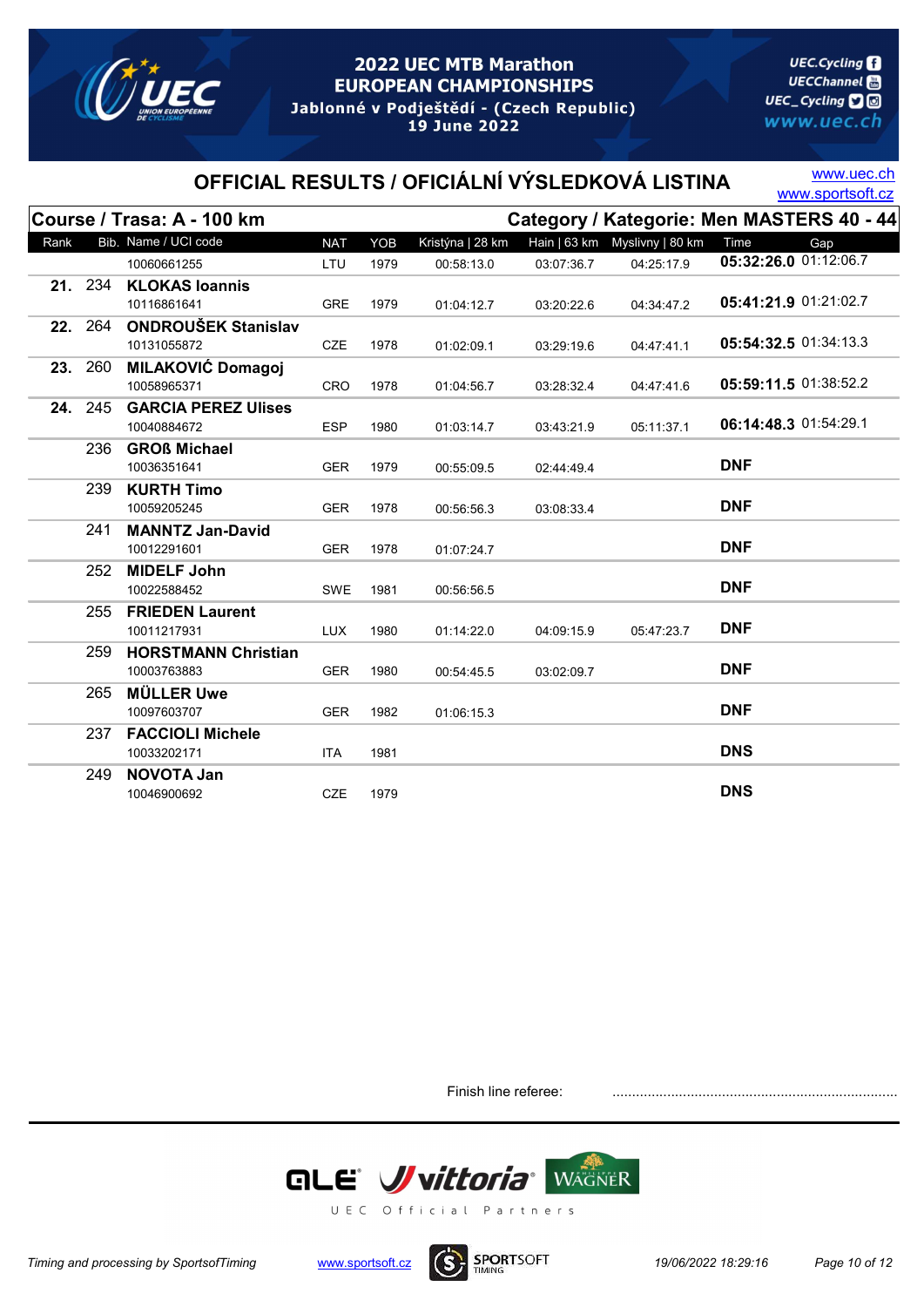

**UEC.Cycling UECChannel** 圖 UEC\_Cycling **D** www.uec.ch

## OFFICIAL RESULTS / OFICIÁLNÍ VÝSLEDKOVÁ LISTINA WWW.sportsoft.cz

www.uec.ch

|      |         | Course / Trasa: A - 100 km  |            |      |                  |            |                                | Category / Kategorie: Men MASTERS 40 - 44 |
|------|---------|-----------------------------|------------|------|------------------|------------|--------------------------------|-------------------------------------------|
| Rank |         | Bib. Name / UCI code        | <b>NAT</b> | YOB  | Kristýna   28 km |            | Hain   63 km  Myslivny   80 km | Time<br>Gap                               |
|      |         | 10060661255                 | LTU        | 1979 | 00:58:13.0       | 03:07:36.7 | 04:25:17.9                     | 05:32:26.0 01:12:06.7                     |
|      | 21. 234 | <b>KLOKAS loannis</b>       |            |      |                  |            |                                |                                           |
|      |         | 10116861641                 | <b>GRE</b> | 1979 | 01:04:12.7       | 03:20:22.6 | 04:34:47.2                     | 05:41:21.9 01:21:02.7                     |
|      |         | 22. 264 ONDROUŠEK Stanislav |            |      |                  |            |                                |                                           |
|      |         | 10131055872                 | <b>CZE</b> | 1978 | 01:02:09.1       | 03:29:19.6 | 04:47:41.1                     | 05:54:32.5 01:34:13.3                     |
|      | 23. 260 | <b>MILAKOVIĆ Domagoj</b>    |            |      |                  |            |                                |                                           |
|      |         | 10058965371                 | <b>CRO</b> | 1978 | 01:04:56.7       | 03:28:32.4 | 04:47:41.6                     | 05:59:11.5 01:38:52.2                     |
| 24.  | 245     | <b>GARCIA PEREZ Ulises</b>  |            |      |                  |            |                                |                                           |
|      |         | 10040884672                 | <b>ESP</b> | 1980 | 01:03:14.7       | 03:43:21.9 | 05:11:37.1                     | 06:14:48.3 01:54:29.1                     |
|      | 236     | <b>GROß Michael</b>         |            |      |                  |            |                                |                                           |
|      |         | 10036351641                 | <b>GER</b> | 1979 | 00:55:09.5       | 02:44:49.4 |                                | <b>DNF</b>                                |
|      | 239     | <b>KURTH Timo</b>           |            |      |                  |            |                                |                                           |
|      |         | 10059205245                 | <b>GER</b> | 1978 | 00:56:56.3       | 03:08:33.4 |                                | <b>DNF</b>                                |
|      | 241     | <b>MANNTZ Jan-David</b>     |            |      |                  |            |                                |                                           |
|      |         | 10012291601                 | <b>GER</b> | 1978 | 01:07:24.7       |            |                                | <b>DNF</b>                                |
|      | 252     | <b>MIDELF John</b>          |            |      |                  |            |                                |                                           |
|      |         | 10022588452                 | SWE        | 1981 | 00:56:56.5       |            |                                | <b>DNF</b>                                |
|      | 255     | <b>FRIEDEN Laurent</b>      |            |      |                  |            |                                |                                           |
|      |         | 10011217931                 | <b>LUX</b> | 1980 | 01:14:22.0       | 04:09:15.9 | 05:47:23.7                     | <b>DNF</b>                                |
|      | 259     | <b>HORSTMANN Christian</b>  |            |      |                  |            |                                |                                           |
|      |         | 10003763883                 | <b>GER</b> | 1980 | 00:54:45.5       | 03:02:09.7 |                                | <b>DNF</b>                                |
|      | 265     | <b>MÜLLER Uwe</b>           |            |      |                  |            |                                |                                           |
|      |         | 10097603707                 | <b>GER</b> | 1982 | 01:06:15.3       |            |                                | <b>DNF</b>                                |
|      | 237     | <b>FACCIOLI Michele</b>     |            |      |                  |            |                                |                                           |
|      |         | 10033202171                 | <b>ITA</b> | 1981 |                  |            |                                | <b>DNS</b>                                |
|      | 249     | <b>NOVOTA Jan</b>           |            |      |                  |            |                                |                                           |
|      |         | 10046900692                 | <b>CZE</b> | 1979 |                  |            |                                | <b>DNS</b>                                |



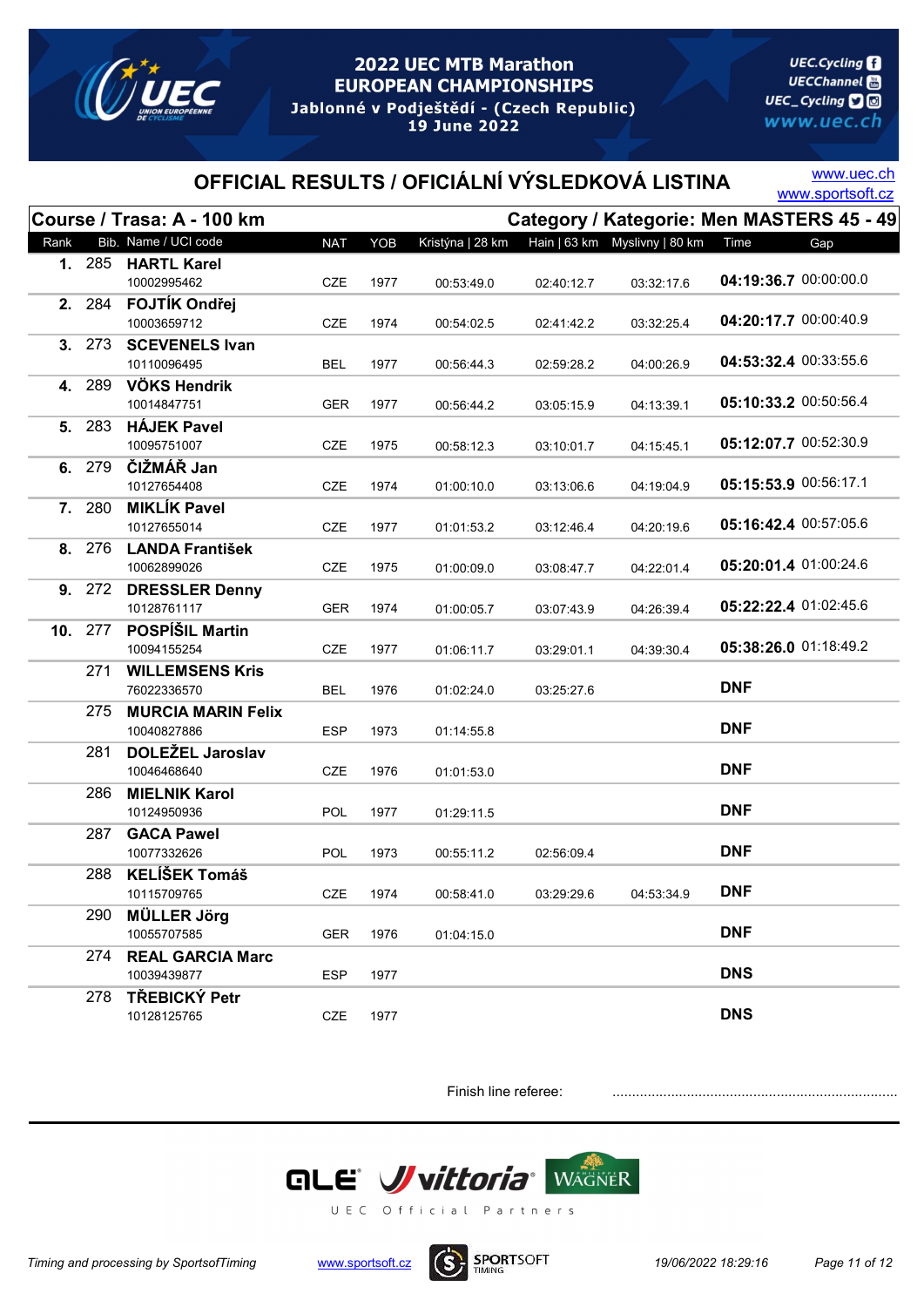

**UEC.Cycling UECChannel** 圖 UEC\_Cycling **D** www.uec.ch

# OFFICIAL RESULTS / OFICIÁLNÍ VÝSLEDKOVÁ LISTINA WWW.sportsoft.cz

www.uec.ch

|      |        | Course / Trasa: A - 100 km  |            |      |                  |            | Category / Kategorie: Men MASTERS 45 - 49 |                       |     |
|------|--------|-----------------------------|------------|------|------------------|------------|-------------------------------------------|-----------------------|-----|
| Rank |        | Bib. Name / UCI code        | <b>NAT</b> | YOB  | Kristýna   28 km |            | Hain   63 km  Myslivny   80 km            | Time                  | Gap |
|      | 1. 285 | <b>HARTL Karel</b>          |            |      |                  |            |                                           |                       |     |
|      |        | 10002995462                 | <b>CZE</b> | 1977 | 00:53:49.0       | 02:40:12.7 | 03:32:17.6                                | 04:19:36.7 00:00:00.0 |     |
|      | 2. 284 | <b>FOJTÍK Ondřej</b>        |            |      |                  |            |                                           | 04:20:17.7 00:00:40.9 |     |
|      |        | 10003659712                 | <b>CZE</b> | 1974 | 00:54:02.5       | 02:41:42.2 | 03:32:25.4                                |                       |     |
| 3.   | 273    | <b>SCEVENELS Ivan</b>       |            |      |                  |            |                                           | 04:53:32.4 00:33:55.6 |     |
|      |        | 10110096495                 | BEL        | 1977 | 00:56:44.3       | 02:59:28.2 | 04:00:26.9                                |                       |     |
| 4.   | 289    | VÖKS Hendrik<br>10014847751 | <b>GER</b> | 1977 | 00:56:44.2       | 03:05:15.9 | 04:13:39.1                                | 05:10:33.2 00:50:56.4 |     |
|      | 5. 283 | <b>HÁJEK Pavel</b>          |            |      |                  |            |                                           |                       |     |
|      |        | 10095751007                 | CZE        | 1975 | 00:58:12.3       | 03:10:01.7 | 04:15:45.1                                | 05:12:07.7 00:52:30.9 |     |
|      | 6. 279 | ČIŽMÁŘ Jan                  |            |      |                  |            |                                           |                       |     |
|      |        | 10127654408                 | <b>CZE</b> | 1974 | 01:00:10.0       | 03:13:06.6 | 04:19:04.9                                | 05:15:53.9 00:56:17.1 |     |
| 7.   | 280    | <b>MIKLÍK Pavel</b>         |            |      |                  |            |                                           |                       |     |
|      |        | 10127655014                 | <b>CZE</b> | 1977 | 01:01:53.2       | 03:12:46.4 | 04:20:19.6                                | 05:16:42.4 00:57:05.6 |     |
|      | 8. 276 | <b>LANDA František</b>      |            |      |                  |            |                                           |                       |     |
|      |        | 10062899026                 | CZE        | 1975 | 01:00:09.0       | 03:08:47.7 | 04:22:01.4                                | 05:20:01.4 01:00:24.6 |     |
|      | 9. 272 | <b>DRESSLER Denny</b>       |            |      |                  |            |                                           |                       |     |
|      |        | 10128761117                 | <b>GER</b> | 1974 | 01:00:05.7       | 03:07:43.9 | 04:26:39.4                                | 05:22:22.4 01:02:45.6 |     |
| 10.  | 277    | <b>POSPÍŠIL Martin</b>      |            |      |                  |            |                                           |                       |     |
|      |        | 10094155254                 | <b>CZE</b> | 1977 | 01:06:11.7       | 03:29:01.1 | 04:39:30.4                                | 05:38:26.0 01:18:49.2 |     |
|      | 271    | <b>WILLEMSENS Kris</b>      |            |      |                  |            |                                           |                       |     |
|      |        | 76022336570                 | <b>BEL</b> | 1976 | 01:02:24.0       | 03:25:27.6 |                                           | <b>DNF</b>            |     |
|      | 275    | <b>MURCIA MARIN Felix</b>   |            |      |                  |            |                                           |                       |     |
|      |        | 10040827886                 | <b>ESP</b> | 1973 | 01:14:55.8       |            |                                           | <b>DNF</b>            |     |
|      | 281    | <b>DOLEŽEL Jaroslav</b>     |            |      |                  |            |                                           |                       |     |
|      |        | 10046468640                 | <b>CZE</b> | 1976 | 01:01:53.0       |            |                                           | <b>DNF</b>            |     |
|      | 286    | <b>MIELNIK Karol</b>        |            |      |                  |            |                                           |                       |     |
|      |        | 10124950936                 | <b>POL</b> | 1977 | 01:29:11.5       |            |                                           | <b>DNF</b>            |     |
|      | 287    | <b>GACA Pawel</b>           |            |      |                  |            |                                           |                       |     |
|      |        | 10077332626                 | POL        | 1973 | 00:55:11.2       | 02:56:09.4 |                                           | <b>DNF</b>            |     |
|      | 288    | <b>KELÍŠEK Tomáš</b>        |            |      |                  |            |                                           |                       |     |
|      |        | 10115709765                 | CZE        | 1974 | 00:58:41.0       | 03:29:29.6 | 04:53:34.9                                | <b>DNF</b>            |     |
|      | 290    | <b>MÜLLER Jörg</b>          |            |      |                  |            |                                           |                       |     |
|      |        | 10055707585                 | <b>GER</b> | 1976 | 01:04:15.0       |            |                                           | <b>DNF</b>            |     |
|      | 274    | <b>REAL GARCIA Marc</b>     |            |      |                  |            |                                           | <b>DNS</b>            |     |
|      |        | 10039439877                 | <b>ESP</b> | 1977 |                  |            |                                           |                       |     |
|      | 278    | TŘEBICKÝ Petr               |            |      |                  |            |                                           | <b>DNS</b>            |     |
|      |        | 10128125765                 | CZE        | 1977 |                  |            |                                           |                       |     |